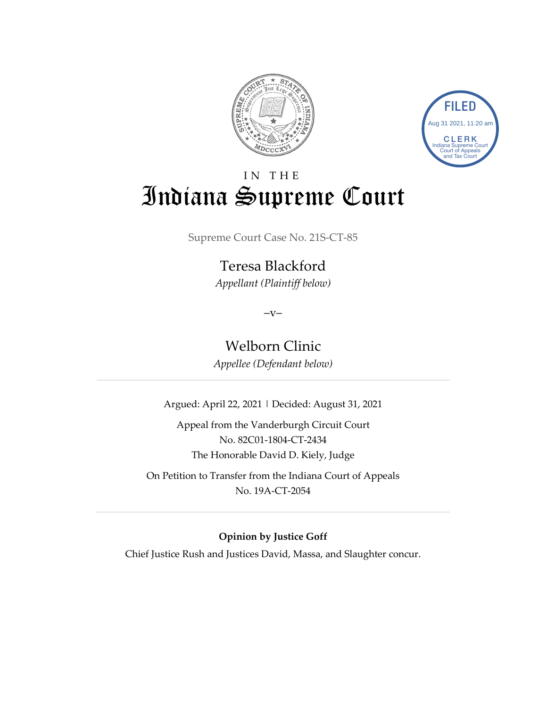



# IN THE Indiana Supreme Court

Supreme Court Case No. 21S-CT-85

Teresa Blackford *Appellant (Plaintiff below)*

 $-V-$ 

Welborn Clinic

*Appellee (Defendant below)*

Argued: April 22, 2021 | Decided: August 31, 2021

Appeal from the Vanderburgh Circuit Court No. 82C01-1804-CT-2434 The Honorable David D. Kiely, Judge

On Petition to Transfer from the Indiana Court of Appeals No. 19A-CT-2054

**Opinion by Justice Goff**

Chief Justice Rush and Justices David, Massa, and Slaughter concur.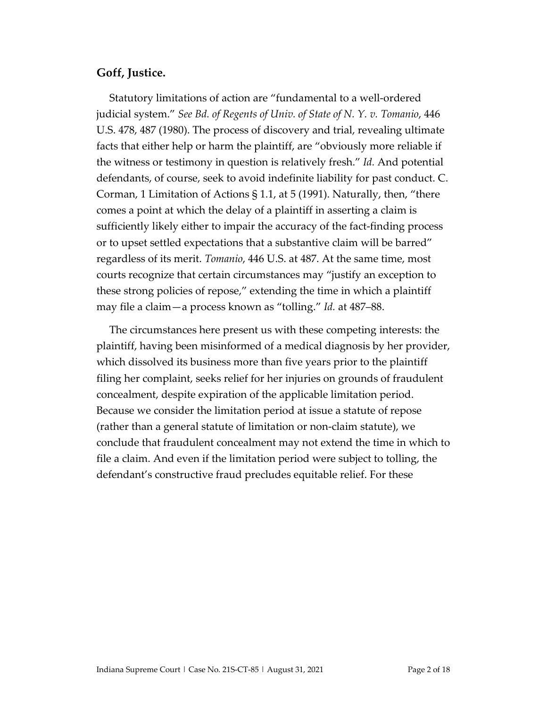#### **Goff, Justice.**

Statutory limitations of action are "fundamental to a well-ordered judicial system." *See Bd. of Regents of Univ. of State of N. Y. v. Tomanio*, 446 U.S. 478, 487 (1980). The process of discovery and trial, revealing ultimate facts that either help or harm the plaintiff, are "obviously more reliable if the witness or testimony in question is relatively fresh." *Id.* And potential defendants, of course, seek to avoid indefinite liability for past conduct. C. Corman, 1 Limitation of Actions  $\S 1.1$ , at 5 (1991). Naturally, then, "there comes a point at which the delay of a plaintiff in asserting a claim is sufficiently likely either to impair the accuracy of the fact-finding process or to upset settled expectations that a substantive claim will be barred" regardless of its merit. *Tomanio*, 446 U.S. at 487. At the same time, most courts recognize that certain circumstances may "justify an exception to these strong policies of repose," extending the time in which a plaintiff may file a claim—a process known as "tolling." *Id.* at 487–88.

The circumstances here present us with these competing interests: the plaintiff, having been misinformed of a medical diagnosis by her provider, which dissolved its business more than five years prior to the plaintiff filing her complaint, seeks relief for her injuries on grounds of fraudulent concealment, despite expiration of the applicable limitation period. Because we consider the limitation period at issue a statute of repose (rather than a general statute of limitation or non-claim statute), we conclude that fraudulent concealment may not extend the time in which to file a claim. And even if the limitation period were subject to tolling, the defendant's constructive fraud precludes equitable relief. For these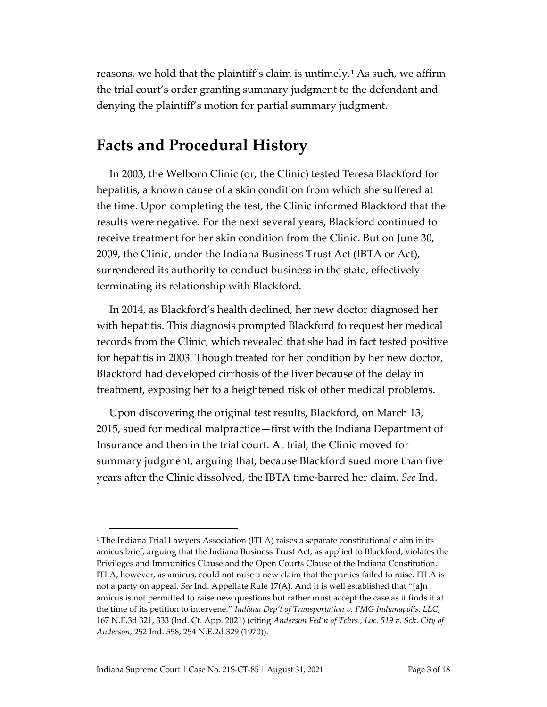reasons, we hold that the plaintiff's claim is untimely.<sup>[1](#page-2-0)</sup> As such, we affirm the trial court's order granting summary judgment to the defendant and denying the plaintiff's motion for partial summary judgment.

## **Facts and Procedural History**

In 2003, the Welborn Clinic (or, the Clinic) tested Teresa Blackford for hepatitis, a known cause of a skin condition from which she suffered at the time. Upon completing the test, the Clinic informed Blackford that the results were negative. For the next several years, Blackford continued to receive treatment for her skin condition from the Clinic. But on June 30, 2009, the Clinic, under the Indiana Business Trust Act (IBTA or Act), surrendered its authority to conduct business in the state, effectively terminating its relationship with Blackford.

In 2014, as Blackford's health declined, her new doctor diagnosed her with hepatitis. This diagnosis prompted Blackford to request her medical records from the Clinic, which revealed that she had in fact tested positive for hepatitis in 2003. Though treated for her condition by her new doctor, Blackford had developed cirrhosis of the liver because of the delay in treatment, exposing her to a heightened risk of other medical problems.

Upon discovering the original test results, Blackford, on March 13, 2015, sued for medical malpractice—first with the Indiana Department of Insurance and then in the trial court. At trial, the Clinic moved for summary judgment, arguing that, because Blackford sued more than five years after the Clinic dissolved, the IBTA time-barred her claim. *See* Ind.

<span id="page-2-0"></span><sup>&</sup>lt;sup>1</sup> The Indiana Trial Lawyers Association (ITLA) raises a separate constitutional claim in its amicus brief, arguing that the Indiana Business Trust Act, as applied to Blackford, violates the Privileges and Immunities Clause and the Open Courts Clause of the Indiana Constitution. ITLA, however, as amicus, could not raise a new claim that the parties failed to raise. ITLA is not a party on appeal. *See* Ind. Appellate Rule 17(A). And it is well established that "[a]n amicus is not permitted to raise new questions but rather must accept the case as it finds it at the time of its petition to intervene." *Indiana Dep't of Transportation v. FMG Indianapolis, LLC*, 167 N.E.3d 321, 333 (Ind. Ct. App. 2021) (citing *Anderson Fed'n of Tchrs., Loc. 519 v. Sch. City of Anderson*, 252 Ind. 558, 254 N.E.2d 329 (1970)).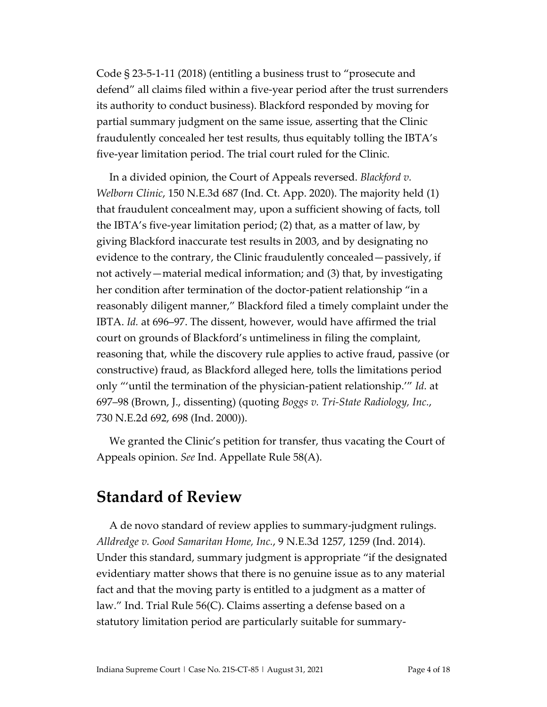Code § 23-5-1-11 (2018) (entitling a business trust to "prosecute and defend" all claims filed within a five-year period after the trust surrenders its authority to conduct business). Blackford responded by moving for partial summary judgment on the same issue, asserting that the Clinic fraudulently concealed her test results, thus equitably tolling the IBTA's five-year limitation period. The trial court ruled for the Clinic.

In a divided opinion, the Court of Appeals reversed. *Blackford v. Welborn Clinic*, 150 N.E.3d 687 (Ind. Ct. App. 2020). The majority held (1) that fraudulent concealment may, upon a sufficient showing of facts, toll the IBTA's five-year limitation period; (2) that, as a matter of law, by giving Blackford inaccurate test results in 2003, and by designating no evidence to the contrary, the Clinic fraudulently concealed—passively, if not actively—material medical information; and (3) that, by investigating her condition after termination of the doctor-patient relationship "in a reasonably diligent manner," Blackford filed a timely complaint under the IBTA. *Id.* at 696–97. The dissent, however, would have affirmed the trial court on grounds of Blackford's untimeliness in filing the complaint, reasoning that, while the discovery rule applies to active fraud, passive (or constructive) fraud, as Blackford alleged here, tolls the limitations period only "'until the termination of the physician-patient relationship.'" *Id.* at 697–98 (Brown, J., dissenting) (quoting *Boggs v. Tri-State Radiology, Inc.*, 730 N.E.2d 692, 698 (Ind. 2000)).

We granted the Clinic's petition for transfer, thus vacating the Court of Appeals opinion. *See* Ind. Appellate Rule 58(A).

## **Standard of Review**

A de novo standard of review applies to summary-judgment rulings. *Alldredge v. Good Samaritan Home, Inc.*, 9 N.E.3d 1257, 1259 (Ind. 2014). Under this standard, summary judgment is appropriate "if the designated evidentiary matter shows that there is no genuine issue as to any material fact and that the moving party is entitled to a judgment as a matter of law." Ind. Trial Rule 56(C). Claims asserting a defense based on a statutory limitation period are particularly suitable for summary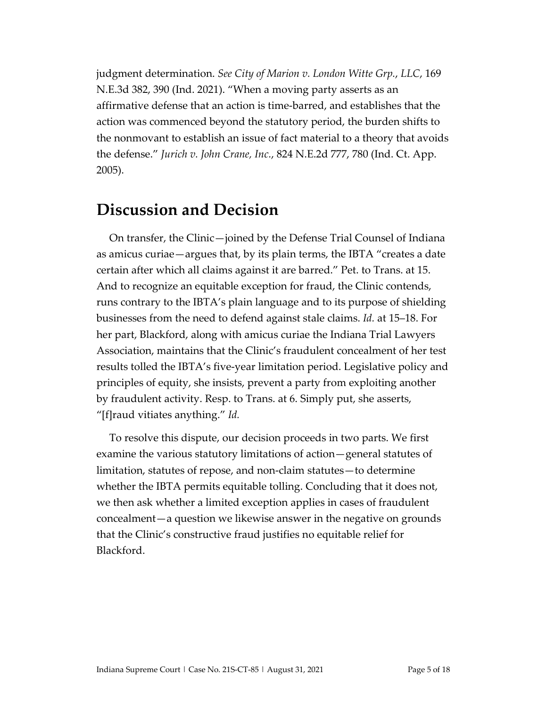judgment determination. *See City of Marion v. London Witte Grp.*, *LLC*, 169 N.E.3d 382, 390 (Ind. 2021). "When a moving party asserts as an affirmative defense that an action is time-barred, and establishes that the action was commenced beyond the statutory period, the burden shifts to the nonmovant to establish an issue of fact material to a theory that avoids the defense." *Jurich v. John Crane, Inc.*, 824 N.E.2d 777, 780 (Ind. Ct. App. 2005).

#### **Discussion and Decision**

On transfer, the Clinic—joined by the Defense Trial Counsel of Indiana as amicus curiae—argues that, by its plain terms, the IBTA "creates a date certain after which all claims against it are barred." Pet. to Trans. at 15. And to recognize an equitable exception for fraud, the Clinic contends, runs contrary to the IBTA's plain language and to its purpose of shielding businesses from the need to defend against stale claims. *Id.* at 15–18. For her part, Blackford, along with amicus curiae the Indiana Trial Lawyers Association, maintains that the Clinic's fraudulent concealment of her test results tolled the IBTA's five-year limitation period. Legislative policy and principles of equity, she insists, prevent a party from exploiting another by fraudulent activity. Resp. to Trans. at 6. Simply put, she asserts, "[f]raud vitiates anything." *Id.*

To resolve this dispute, our decision proceeds in two parts. We first examine the various statutory limitations of action—general statutes of limitation, statutes of repose, and non-claim statutes—to determine whether the IBTA permits equitable tolling. Concluding that it does not, we then ask whether a limited exception applies in cases of fraudulent concealment—a question we likewise answer in the negative on grounds that the Clinic's constructive fraud justifies no equitable relief for Blackford.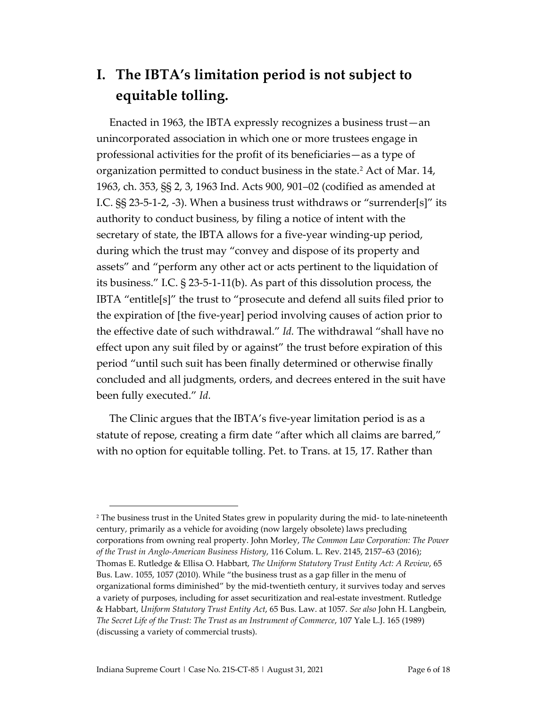## **I. The IBTA's limitation period is not subject to equitable tolling.**

Enacted in 1963, the IBTA expressly recognizes a business trust—an unincorporated association in which one or more trustees engage in professional activities for the profit of its beneficiaries—as a type of organization permitted to conduct business in the state.<sup>[2](#page-5-0)</sup> Act of Mar. 14, 1963, ch. 353, §§ 2, 3, 1963 Ind. Acts 900, 901–02 (codified as amended at I.C. §§ 23-5-1-2, -3). When a business trust withdraws or "surrender[s]" its authority to conduct business, by filing a notice of intent with the secretary of state, the IBTA allows for a five-year winding-up period, during which the trust may "convey and dispose of its property and assets" and "perform any other act or acts pertinent to the liquidation of its business." I.C. § 23-5-1-11(b). As part of this dissolution process, the IBTA "entitle[s]" the trust to "prosecute and defend all suits filed prior to the expiration of [the five-year] period involving causes of action prior to the effective date of such withdrawal." *Id.* The withdrawal "shall have no effect upon any suit filed by or against" the trust before expiration of this period "until such suit has been finally determined or otherwise finally concluded and all judgments, orders, and decrees entered in the suit have been fully executed." *Id.*

The Clinic argues that the IBTA's five-year limitation period is as a statute of repose, creating a firm date "after which all claims are barred," with no option for equitable tolling. Pet. to Trans. at 15, 17. Rather than

<span id="page-5-0"></span> 2 The business trust in the United States grew in popularity during the mid- to late-nineteenth century, primarily as a vehicle for avoiding (now largely obsolete) laws precluding corporations from owning real property. John Morley, *The Common Law Corporation: The Power of the Trust in Anglo-American Business History*, 116 Colum. L. Rev. 2145, 2157–63 (2016); Thomas E. Rutledge & Ellisa O. Habbart, *The Uniform Statutory Trust Entity Act: A Review*, 65 Bus. Law. 1055, 1057 (2010). While "the business trust as a gap filler in the menu of organizational forms diminished" by the mid-twentieth century, it survives today and serves a variety of purposes, including for asset securitization and real-estate investment. Rutledge & Habbart, *Uniform Statutory Trust Entity Act*, 65 Bus. Law. at 1057. *See also* John H. Langbein, *The Secret Life of the Trust: The Trust as an Instrument of Commerce*, 107 Yale L.J. 165 (1989) (discussing a variety of commercial trusts).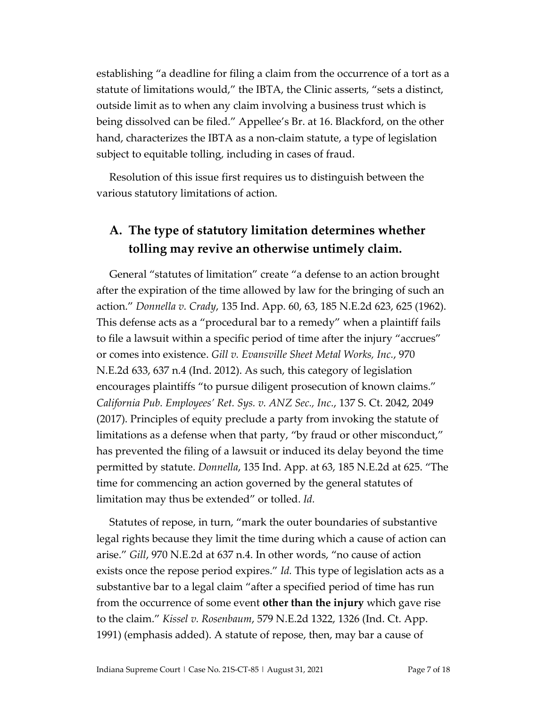establishing "a deadline for filing a claim from the occurrence of a tort as a statute of limitations would," the IBTA, the Clinic asserts, "sets a distinct, outside limit as to when any claim involving a business trust which is being dissolved can be filed." Appellee's Br. at 16. Blackford, on the other hand, characterizes the IBTA as a non-claim statute, a type of legislation subject to equitable tolling, including in cases of fraud.

Resolution of this issue first requires us to distinguish between the various statutory limitations of action.

#### **A. The type of statutory limitation determines whether tolling may revive an otherwise untimely claim.**

General "statutes of limitation" create "a defense to an action brought after the expiration of the time allowed by law for the bringing of such an action." *Donnella v. Crady*, 135 Ind. App. 60, 63, 185 N.E.2d 623, 625 (1962). This defense acts as a "procedural bar to a remedy" when a plaintiff fails to file a lawsuit within a specific period of time after the injury "accrues" or comes into existence. *Gill v. Evansville Sheet Metal Works, Inc.*, 970 N.E.2d 633, 637 n.4 (Ind. 2012). As such, this category of legislation encourages plaintiffs "to pursue diligent prosecution of known claims." *California Pub. Employees' Ret. Sys. v. ANZ Sec., Inc.*, 137 S. Ct. 2042, 2049 (2017). Principles of equity preclude a party from invoking the statute of limitations as a defense when that party, "by fraud or other misconduct," has prevented the filing of a lawsuit or induced its delay beyond the time permitted by statute. *Donnella*, 135 Ind. App. at 63, 185 N.E.2d at 625. "The time for commencing an action governed by the general statutes of limitation may thus be extended" or tolled. *Id.*

Statutes of repose, in turn, "mark the outer boundaries of substantive legal rights because they limit the time during which a cause of action can arise." *Gill*, 970 N.E.2d at 637 n.4. In other words, "no cause of action exists once the repose period expires." *Id.* This type of legislation acts as a substantive bar to a legal claim "after a specified period of time has run from the occurrence of some event **other than the injury** which gave rise to the claim." *Kissel v. Rosenbaum*, 579 N.E.2d 1322, 1326 (Ind. Ct. App. 1991) (emphasis added). A statute of repose, then, may bar a cause of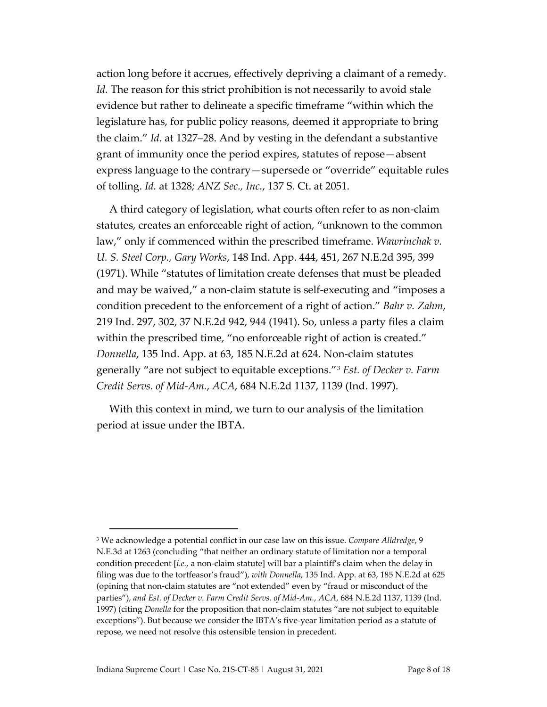action long before it accrues, effectively depriving a claimant of a remedy. *Id.* The reason for this strict prohibition is not necessarily to avoid stale evidence but rather to delineate a specific timeframe "within which the legislature has, for public policy reasons, deemed it appropriate to bring the claim." *Id.* at 1327–28. And by vesting in the defendant a substantive grant of immunity once the period expires, statutes of repose—absent express language to the contrary—supersede or "override" equitable rules of tolling. *Id.* at 1328*; ANZ Sec., Inc.*, 137 S. Ct. at 2051.

A third category of legislation, what courts often refer to as non-claim statutes, creates an enforceable right of action, "unknown to the common law," only if commenced within the prescribed timeframe. *Wawrinchak v. U. S. Steel Corp., Gary Works*, 148 Ind. App. 444, 451, 267 N.E.2d 395, 399 (1971). While "statutes of limitation create defenses that must be pleaded and may be waived," a non-claim statute is self-executing and "imposes a condition precedent to the enforcement of a right of action." *Bahr v. Zahm*, 219 Ind. 297, 302, 37 N.E.2d 942, 944 (1941). So, unless a party files a claim within the prescribed time, "no enforceable right of action is created." *Donnella*, 135 Ind. App. at 63, 185 N.E.2d at 624. Non-claim statutes generally "are not subject to equitable exceptions."[3](#page-7-0) *Est. of Decker v. Farm Credit Servs. of Mid-Am.*, *ACA*, 684 N.E.2d 1137, 1139 (Ind. 1997).

With this context in mind, we turn to our analysis of the limitation period at issue under the IBTA.

<span id="page-7-0"></span> <sup>3</sup> We acknowledge a potential conflict in our case law on this issue. *Compare Alldredge*, 9 N.E.3d at 1263 (concluding "that neither an ordinary statute of limitation nor a temporal condition precedent [*i.e.*, a non-claim statute] will bar a plaintiff's claim when the delay in filing was due to the tortfeasor's fraud"), *with Donnella*, 135 Ind. App. at 63, 185 N.E.2d at 625 (opining that non-claim statutes are "not extended" even by "fraud or misconduct of the parties"), *and Est. of Decker v. Farm Credit Servs. of Mid-Am.*, *ACA*, 684 N.E.2d 1137, 1139 (Ind. 1997) (citing *Donella* for the proposition that non-claim statutes "are not subject to equitable exceptions"). But because we consider the IBTA's five-year limitation period as a statute of repose, we need not resolve this ostensible tension in precedent.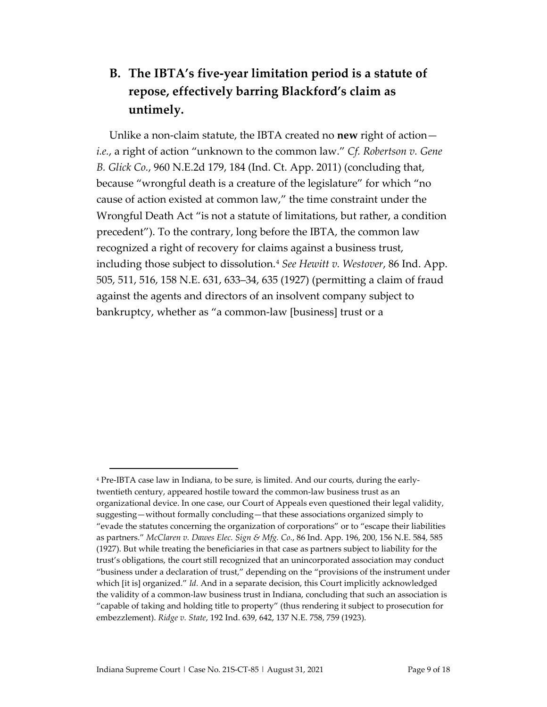### **B. The IBTA's five-year limitation period is a statute of repose, effectively barring Blackford's claim as untimely.**

Unlike a non-claim statute, the IBTA created no **new** right of action *i.e.*, a right of action "unknown to the common law." *Cf. Robertson v. Gene B. Glick Co.*, 960 N.E.2d 179, 184 (Ind. Ct. App. 2011) (concluding that, because "wrongful death is a creature of the legislature" for which "no cause of action existed at common law," the time constraint under the Wrongful Death Act "is not a statute of limitations, but rather, a condition precedent"). To the contrary, long before the IBTA, the common law recognized a right of recovery for claims against a business trust, including those subject to dissolution.[4](#page-8-0) *See Hewitt v. Westover*, 86 Ind. App. 505, 511, 516, 158 N.E. 631, 633–34, 635 (1927) (permitting a claim of fraud against the agents and directors of an insolvent company subject to bankruptcy, whether as "a common-law [business] trust or a

<span id="page-8-0"></span> <sup>4</sup> Pre-IBTA case law in Indiana, to be sure, is limited. And our courts, during the earlytwentieth century, appeared hostile toward the common-law business trust as an organizational device. In one case, our Court of Appeals even questioned their legal validity, suggesting—without formally concluding—that these associations organized simply to "evade the statutes concerning the organization of corporations" or to "escape their liabilities as partners." *McClaren v. Dawes Elec. Sign & Mfg. Co.*, 86 Ind. App. 196, 200, 156 N.E. 584, 585 (1927). But while treating the beneficiaries in that case as partners subject to liability for the trust's obligations, the court still recognized that an unincorporated association may conduct "business under a declaration of trust," depending on the "provisions of the instrument under which [it is] organized." *Id.* And in a separate decision, this Court implicitly acknowledged the validity of a common-law business trust in Indiana, concluding that such an association is "capable of taking and holding title to property" (thus rendering it subject to prosecution for embezzlement). *Ridge v. State*, 192 Ind. 639, 642, 137 N.E. 758, 759 (1923).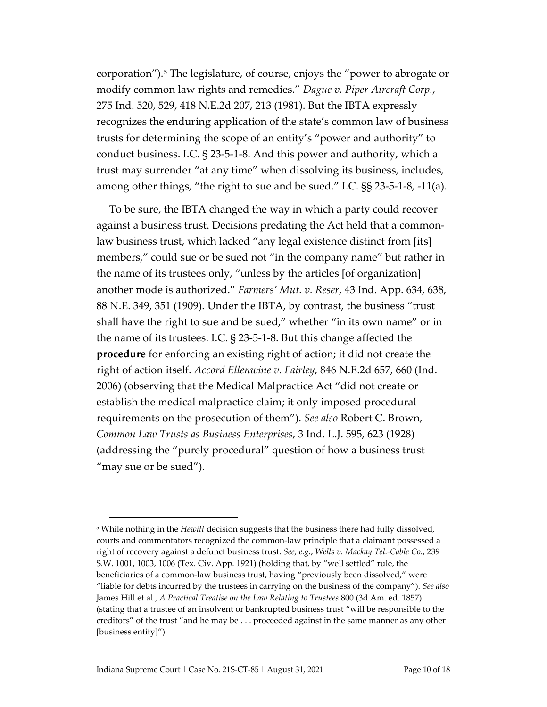corporation").[5](#page-9-0) The legislature, of course, enjoys the "power to abrogate or modify common law rights and remedies." *Dague v. Piper Aircraft Corp.*, 275 Ind. 520, 529, 418 N.E.2d 207, 213 (1981). But the IBTA expressly recognizes the enduring application of the state's common law of business trusts for determining the scope of an entity's "power and authority" to conduct business. I.C. § 23-5-1-8. And this power and authority, which a trust may surrender "at any time" when dissolving its business, includes, among other things, "the right to sue and be sued." I.C. §§ 23-5-1-8, -11(a).

To be sure, the IBTA changed the way in which a party could recover against a business trust. Decisions predating the Act held that a commonlaw business trust, which lacked "any legal existence distinct from [its] members," could sue or be sued not "in the company name" but rather in the name of its trustees only, "unless by the articles [of organization] another mode is authorized." *Farmers' Mut. v. Reser*, 43 Ind. App. 634, 638, 88 N.E. 349, 351 (1909). Under the IBTA, by contrast, the business "trust shall have the right to sue and be sued," whether "in its own name" or in the name of its trustees. I.C. § 23-5-1-8. But this change affected the **procedure** for enforcing an existing right of action; it did not create the right of action itself. *Accord Ellenwine v. Fairley*, 846 N.E.2d 657, 660 (Ind. 2006) (observing that the Medical Malpractice Act "did not create or establish the medical malpractice claim; it only imposed procedural requirements on the prosecution of them"). *See also* Robert C. Brown, *Common Law Trusts as Business Enterprises*, 3 Ind. L.J. 595, 623 (1928) (addressing the "purely procedural" question of how a business trust "may sue or be sued").

<span id="page-9-0"></span> <sup>5</sup> While nothing in the *Hewitt* decision suggests that the business there had fully dissolved, courts and commentators recognized the common-law principle that a claimant possessed a right of recovery against a defunct business trust. *See, e.g.*, *Wells v. Mackay Tel.-Cable Co.*, 239 S.W. 1001, 1003, 1006 (Tex. Civ. App. 1921) (holding that, by "well settled" rule, the beneficiaries of a common-law business trust, having "previously been dissolved," were "liable for debts incurred by the trustees in carrying on the business of the company"). *See also* James Hill et al., *A Practical Treatise on the Law Relating to Trustees* 800 (3d Am. ed. 1857) (stating that a trustee of an insolvent or bankrupted business trust "will be responsible to the creditors" of the trust "and he may be . . . proceeded against in the same manner as any other [business entity]").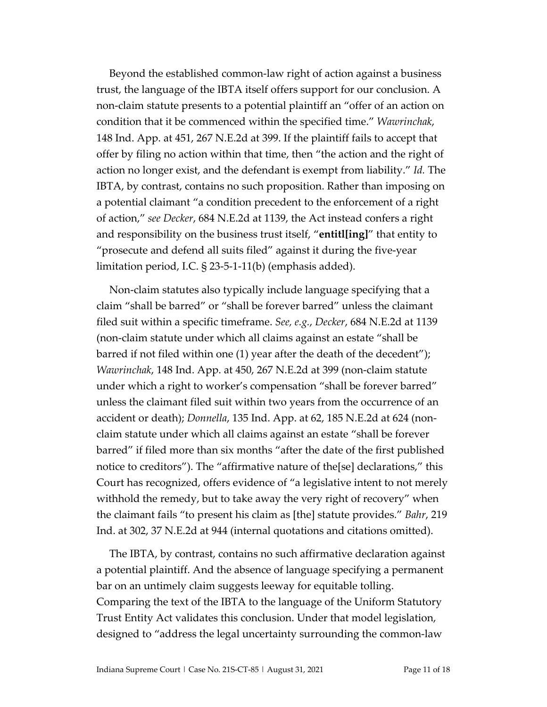Beyond the established common-law right of action against a business trust, the language of the IBTA itself offers support for our conclusion. A non-claim statute presents to a potential plaintiff an "offer of an action on condition that it be commenced within the specified time." *Wawrinchak*, 148 Ind. App. at 451, 267 N.E.2d at 399. If the plaintiff fails to accept that offer by filing no action within that time, then "the action and the right of action no longer exist, and the defendant is exempt from liability." *Id.* The IBTA, by contrast, contains no such proposition. Rather than imposing on a potential claimant "a condition precedent to the enforcement of a right of action," *see Decker*, 684 N.E.2d at 1139, the Act instead confers a right and responsibility on the business trust itself, "**entitl[ing]**" that entity to "prosecute and defend all suits filed" against it during the five-year limitation period, I.C. § 23-5-1-11(b) (emphasis added).

Non-claim statutes also typically include language specifying that a claim "shall be barred" or "shall be forever barred" unless the claimant filed suit within a specific timeframe. *See, e.g.*, *Decker*, 684 N.E.2d at 1139 (non-claim statute under which all claims against an estate "shall be barred if not filed within one (1) year after the death of the decedent"); *Wawrinchak*, 148 Ind. App. at 450, 267 N.E.2d at 399 (non-claim statute under which a right to worker's compensation "shall be forever barred" unless the claimant filed suit within two years from the occurrence of an accident or death); *Donnella*, 135 Ind. App. at 62, 185 N.E.2d at 624 (nonclaim statute under which all claims against an estate "shall be forever barred" if filed more than six months "after the date of the first published notice to creditors"). The "affirmative nature of the[se] declarations," this Court has recognized, offers evidence of "a legislative intent to not merely withhold the remedy, but to take away the very right of recovery" when the claimant fails "to present his claim as [the] statute provides." *Bahr*, 219 Ind. at 302, 37 N.E.2d at 944 (internal quotations and citations omitted).

The IBTA, by contrast, contains no such affirmative declaration against a potential plaintiff. And the absence of language specifying a permanent bar on an untimely claim suggests leeway for equitable tolling. Comparing the text of the IBTA to the language of the Uniform Statutory Trust Entity Act validates this conclusion. Under that model legislation, designed to "address the legal uncertainty surrounding the common-law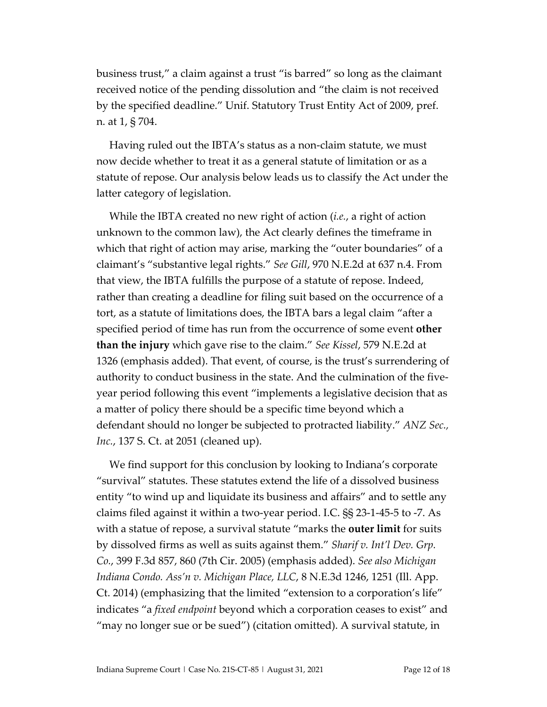business trust," a claim against a trust "is barred" so long as the claimant received notice of the pending dissolution and "the claim is not received by the specified deadline." Unif. Statutory Trust Entity Act of 2009, pref. n. at 1, § 704.

Having ruled out the IBTA's status as a non-claim statute, we must now decide whether to treat it as a general statute of limitation or as a statute of repose. Our analysis below leads us to classify the Act under the latter category of legislation.

While the IBTA created no new right of action (*i.e.*, a right of action unknown to the common law), the Act clearly defines the timeframe in which that right of action may arise, marking the "outer boundaries" of a claimant's "substantive legal rights." *See Gill*, 970 N.E.2d at 637 n.4. From that view, the IBTA fulfills the purpose of a statute of repose. Indeed, rather than creating a deadline for filing suit based on the occurrence of a tort, as a statute of limitations does, the IBTA bars a legal claim "after a specified period of time has run from the occurrence of some event **other than the injury** which gave rise to the claim." *See Kissel*, 579 N.E.2d at 1326 (emphasis added). That event, of course, is the trust's surrendering of authority to conduct business in the state. And the culmination of the fiveyear period following this event "implements a legislative decision that as a matter of policy there should be a specific time beyond which a defendant should no longer be subjected to protracted liability." *ANZ Sec., Inc.*, 137 S. Ct. at 2051 (cleaned up).

We find support for this conclusion by looking to Indiana's corporate "survival" statutes. These statutes extend the life of a dissolved business entity "to wind up and liquidate its business and affairs" and to settle any claims filed against it within a two-year period. I.C. §§ 23-1-45-5 to -7. As with a statue of repose, a survival statute "marks the **outer limit** for suits by dissolved firms as well as suits against them." *Sharif v. Int'l Dev. Grp. Co.*, 399 F.3d 857, 860 (7th Cir. 2005) (emphasis added). *See also Michigan Indiana Condo. Ass'n v. Michigan Place, LLC*, 8 N.E.3d 1246, 1251 (Ill. App. Ct. 2014) (emphasizing that the limited "extension to a corporation's life" indicates "a *fixed endpoint* beyond which a corporation ceases to exist" and "may no longer sue or be sued") (citation omitted). A survival statute, in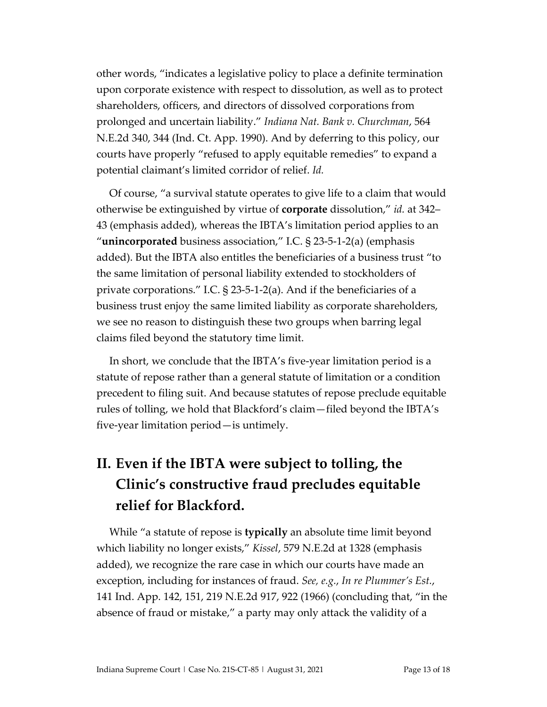other words, "indicates a legislative policy to place a definite termination upon corporate existence with respect to dissolution, as well as to protect shareholders, officers, and directors of dissolved corporations from prolonged and uncertain liability." *Indiana Nat. Bank v. Churchman*, 564 N.E.2d 340, 344 (Ind. Ct. App. 1990). And by deferring to this policy, our courts have properly "refused to apply equitable remedies" to expand a potential claimant's limited corridor of relief. *Id.*

Of course, "a survival statute operates to give life to a claim that would otherwise be extinguished by virtue of **corporate** dissolution," *id.* at 342– 43 (emphasis added), whereas the IBTA's limitation period applies to an "**unincorporated** business association," I.C. § 23-5-1-2(a) (emphasis added). But the IBTA also entitles the beneficiaries of a business trust "to the same limitation of personal liability extended to stockholders of private corporations." I.C. § 23-5-1-2(a). And if the beneficiaries of a business trust enjoy the same limited liability as corporate shareholders, we see no reason to distinguish these two groups when barring legal claims filed beyond the statutory time limit.

In short, we conclude that the IBTA's five-year limitation period is a statute of repose rather than a general statute of limitation or a condition precedent to filing suit. And because statutes of repose preclude equitable rules of tolling, we hold that Blackford's claim—filed beyond the IBTA's five-year limitation period—is untimely.

# **II. Even if the IBTA were subject to tolling, the Clinic's constructive fraud precludes equitable relief for Blackford.**

While "a statute of repose is **typically** an absolute time limit beyond which liability no longer exists," *Kissel*, 579 N.E.2d at 1328 (emphasis added), we recognize the rare case in which our courts have made an exception, including for instances of fraud. *See, e.g.*, *In re Plummer's Est.*, 141 Ind. App. 142, 151, 219 N.E.2d 917, 922 (1966) (concluding that, "in the absence of fraud or mistake," a party may only attack the validity of a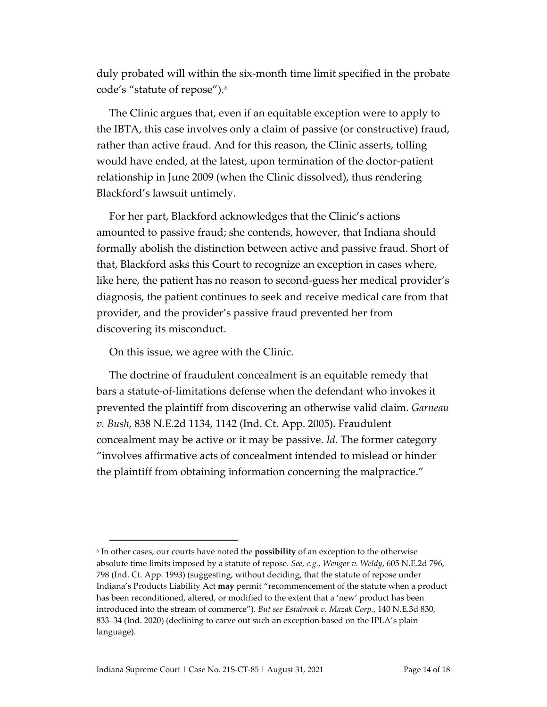duly probated will within the six-month time limit specified in the probate code's "statute of repose").[6](#page-13-0)

The Clinic argues that, even if an equitable exception were to apply to the IBTA, this case involves only a claim of passive (or constructive) fraud, rather than active fraud. And for this reason, the Clinic asserts, tolling would have ended, at the latest, upon termination of the doctor-patient relationship in June 2009 (when the Clinic dissolved), thus rendering Blackford's lawsuit untimely.

For her part, Blackford acknowledges that the Clinic's actions amounted to passive fraud; she contends, however, that Indiana should formally abolish the distinction between active and passive fraud. Short of that, Blackford asks this Court to recognize an exception in cases where, like here, the patient has no reason to second-guess her medical provider's diagnosis, the patient continues to seek and receive medical care from that provider, and the provider's passive fraud prevented her from discovering its misconduct.

On this issue, we agree with the Clinic.

The doctrine of fraudulent concealment is an equitable remedy that bars a statute-of-limitations defense when the defendant who invokes it prevented the plaintiff from discovering an otherwise valid claim. *Garneau v. Bush*, 838 N.E.2d 1134, 1142 (Ind. Ct. App. 2005). Fraudulent concealment may be active or it may be passive. *Id.* The former category "involves affirmative acts of concealment intended to mislead or hinder the plaintiff from obtaining information concerning the malpractice."

<span id="page-13-0"></span> <sup>6</sup> In other cases, our courts have noted the **possibility** of an exception to the otherwise absolute time limits imposed by a statute of repose. *See, e.g.*, *Wenger v. Weldy*, 605 N.E.2d 796, 798 (Ind. Ct. App. 1993) (suggesting, without deciding, that the statute of repose under Indiana's Products Liability Act **may** permit "recommencement of the statute when a product has been reconditioned, altered, or modified to the extent that a 'new' product has been introduced into the stream of commerce"). *But see Estabrook v. Mazak Corp.*, 140 N.E.3d 830, 833–34 (Ind. 2020) (declining to carve out such an exception based on the IPLA's plain language).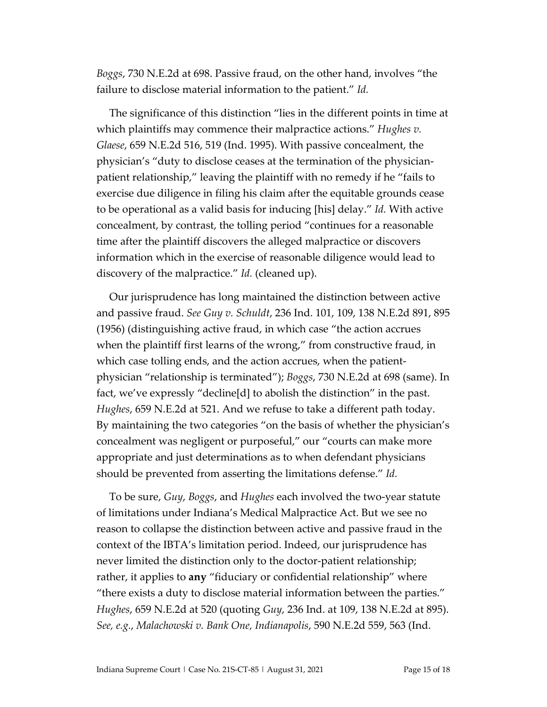*Boggs*, 730 N.E.2d at 698. Passive fraud, on the other hand, involves "the failure to disclose material information to the patient." *Id.*

The significance of this distinction "lies in the different points in time at which plaintiffs may commence their malpractice actions." *Hughes v. Glaese*, 659 N.E.2d 516, 519 (Ind. 1995). With passive concealment, the physician's "duty to disclose ceases at the termination of the physicianpatient relationship," leaving the plaintiff with no remedy if he "fails to exercise due diligence in filing his claim after the equitable grounds cease to be operational as a valid basis for inducing [his] delay." *Id.* With active concealment, by contrast, the tolling period "continues for a reasonable time after the plaintiff discovers the alleged malpractice or discovers information which in the exercise of reasonable diligence would lead to discovery of the malpractice." *Id.* (cleaned up).

Our jurisprudence has long maintained the distinction between active and passive fraud. *See Guy v. Schuldt*, 236 Ind. 101, 109, 138 N.E.2d 891, 895 (1956) (distinguishing active fraud, in which case "the action accrues when the plaintiff first learns of the wrong," from constructive fraud, in which case tolling ends, and the action accrues, when the patientphysician "relationship is terminated"); *Boggs*, 730 N.E.2d at 698 (same). In fact, we've expressly "decline[d] to abolish the distinction" in the past. *Hughes*, 659 N.E.2d at 521. And we refuse to take a different path today. By maintaining the two categories "on the basis of whether the physician's concealment was negligent or purposeful," our "courts can make more appropriate and just determinations as to when defendant physicians should be prevented from asserting the limitations defense." *Id.*

To be sure, *Guy*, *Boggs*, and *Hughes* each involved the two-year statute of limitations under Indiana's Medical Malpractice Act. But we see no reason to collapse the distinction between active and passive fraud in the context of the IBTA's limitation period. Indeed, our jurisprudence has never limited the distinction only to the doctor-patient relationship; rather, it applies to **any** "fiduciary or confidential relationship" where "there exists a duty to disclose material information between the parties." *Hughes*, 659 N.E.2d at 520 (quoting *Guy*, 236 Ind. at 109, 138 N.E.2d at 895). *See, e.g.*, *Malachowski v. Bank One, Indianapolis*, 590 N.E.2d 559, 563 (Ind.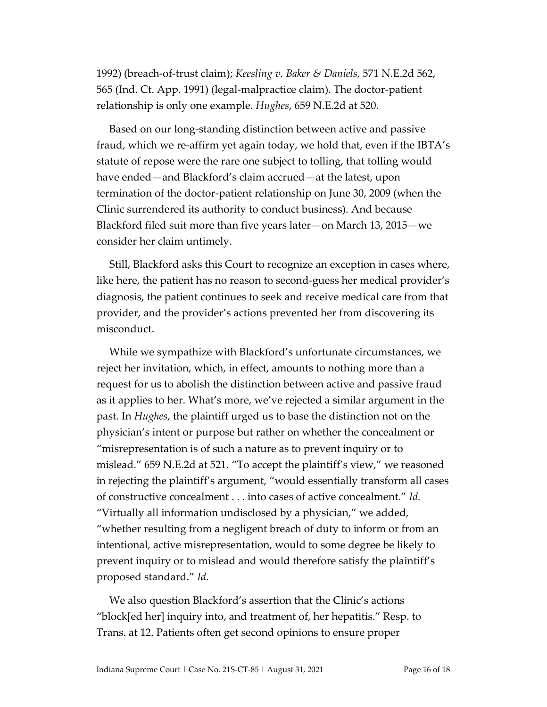1992) (breach-of-trust claim); *Keesling v. Baker & Daniels*, 571 N.E.2d 562, 565 (Ind. Ct. App. 1991) (legal-malpractice claim). The doctor-patient relationship is only one example. *Hughes*, 659 N.E.2d at 520.

Based on our long-standing distinction between active and passive fraud, which we re-affirm yet again today, we hold that, even if the IBTA's statute of repose were the rare one subject to tolling, that tolling would have ended—and Blackford's claim accrued—at the latest, upon termination of the doctor-patient relationship on June 30, 2009 (when the Clinic surrendered its authority to conduct business). And because Blackford filed suit more than five years later—on March 13, 2015—we consider her claim untimely.

Still, Blackford asks this Court to recognize an exception in cases where, like here, the patient has no reason to second-guess her medical provider's diagnosis, the patient continues to seek and receive medical care from that provider, and the provider's actions prevented her from discovering its misconduct.

While we sympathize with Blackford's unfortunate circumstances, we reject her invitation, which, in effect, amounts to nothing more than a request for us to abolish the distinction between active and passive fraud as it applies to her. What's more, we've rejected a similar argument in the past. In *Hughes*, the plaintiff urged us to base the distinction not on the physician's intent or purpose but rather on whether the concealment or "misrepresentation is of such a nature as to prevent inquiry or to mislead." 659 N.E.2d at 521. "To accept the plaintiff's view," we reasoned in rejecting the plaintiff's argument, "would essentially transform all cases of constructive concealment . . . into cases of active concealment." *Id.* "Virtually all information undisclosed by a physician," we added, "whether resulting from a negligent breach of duty to inform or from an intentional, active misrepresentation, would to some degree be likely to prevent inquiry or to mislead and would therefore satisfy the plaintiff's proposed standard." *Id.*

We also question Blackford's assertion that the Clinic's actions "block[ed her] inquiry into, and treatment of, her hepatitis." Resp. to Trans. at 12. Patients often get second opinions to ensure proper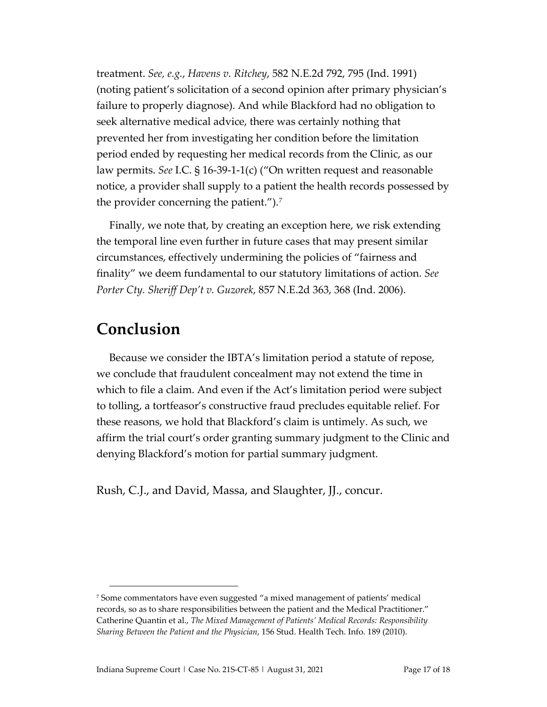treatment. *See, e.g.*, *Havens v. Ritchey*, 582 N.E.2d 792, 795 (Ind. 1991) (noting patient's solicitation of a second opinion after primary physician's failure to properly diagnose). And while Blackford had no obligation to seek alternative medical advice, there was certainly nothing that prevented her from investigating her condition before the limitation period ended by requesting her medical records from the Clinic, as our law permits. *See* I.C. § 16-39-1-1(c) ("On written request and reasonable notice, a provider shall supply to a patient the health records possessed by the provider concerning the patient.").<sup>7</sup>

Finally, we note that, by creating an exception here, we risk extending the temporal line even further in future cases that may present similar circumstances, effectively undermining the policies of "fairness and finality" we deem fundamental to our statutory limitations of action. *See Porter Cty. Sheriff Dep't v. Guzorek*, 857 N.E.2d 363, 368 (Ind. 2006).

## **Conclusion**

Because we consider the IBTA's limitation period a statute of repose, we conclude that fraudulent concealment may not extend the time in which to file a claim. And even if the Act's limitation period were subject to tolling, a tortfeasor's constructive fraud precludes equitable relief. For these reasons, we hold that Blackford's claim is untimely. As such, we affirm the trial court's order granting summary judgment to the Clinic and denying Blackford's motion for partial summary judgment.

Rush, C.J., and David, Massa, and Slaughter, JJ., concur.

<span id="page-16-0"></span><sup>7</sup> Some commentators have even suggested "a mixed management of patients' medical records, so as to share responsibilities between the patient and the Medical Practitioner." Catherine Quantin et al., *The Mixed Management of Patients' Medical Records: Responsibility Sharing Between the Patient and the Physician*, 156 Stud. Health Tech. Info. 189 (2010).